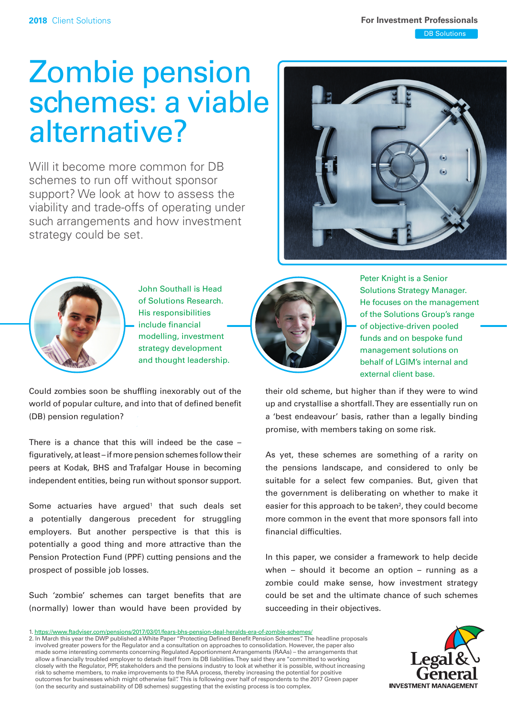# Zombie pension schemes: a viable alternative?

Will it become more common for DB schemes to run off without sponsor support? We look at how to assess the viability and trade-offs of operating under such arrangements and how investment strategy could be set.





John Southall is Head of Solutions Research. His responsibilities include financial modelling, investment strategy development and thought leadership.

Could zombies soon be shuffling inexorably out of the world of popular culture, and into that of defined benefit (DB) pension regulation?

There is a chance that this will indeed be the case – figuratively, at least – if more pension schemes follow their peers at Kodak, BHS and Trafalgar House in becoming independent entities, being run without sponsor support.

Some actuaries have argued<sup>1</sup> that such deals set a potentially dangerous precedent for struggling employers. But another perspective is that this is potentially a good thing and more attractive than the Pension Protection Fund (PPF) cutting pensions and the prospect of possible job losses.

Such 'zombie' schemes can target benefits that are (normally) lower than would have been provided by



Peter Knight is a Senior Solutions Strategy Manager. He focuses on the management of the Solutions Group's range of objective-driven pooled funds and on bespoke fund management solutions on behalf of LGIM's internal and external client base.

their old scheme, but higher than if they were to wind up and crystallise a shortfall. They are essentially run on a 'best endeavour' basis, rather than a legally binding promise, with members taking on some risk.

As yet, these schemes are something of a rarity on the pensions landscape, and considered to only be suitable for a select few companies. But, given that the government is deliberating on whether to make it easier for this approach to be taken<sup>2</sup>, they could become more common in the event that more sponsors fall into financial difficulties.

In this paper, we consider a framework to help decide when – should it become an option – running as a zombie could make sense, how investment strategy could be set and the ultimate chance of such schemes succeeding in their objectives.

2. In March this year the DWP published a White Paper "Protecting Defined Benefit Pension Schemes". The headline proposals involved greater powers for the Regulator and a consultation on approaches to consolidation. However, the paper also made some interesting comments concerning Regulated Apportionment Arrangements (RAAs) – the arrangements that allow a financially troubled employer to detach itself from its DB liabilities. They said they are "committed to working closely with the Regulator, PPF, stakeholders and the pensions industry to look at whether it is possible, without increasing risk to scheme members, to make improvements to the RAA process, thereby increasing the potential for positive outcomes for businesses which might otherwise fail". This is following over half of respondents to the 2017 Green paper (on the security and sustainability of DB schemes) suggesting that the existing process is too complex.



<sup>1.</sup> <https://www.ftadviser.com/pensions/2017/03/01/fears-bhs-pension-deal-heralds-era-of-zombie-schemes/>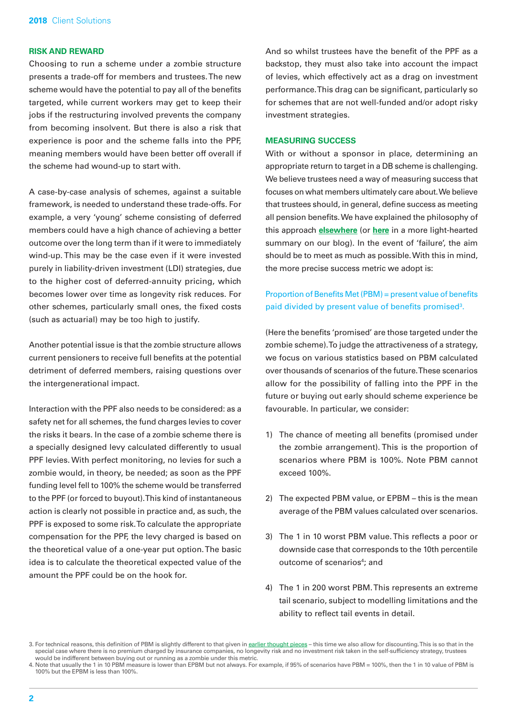## **RISK AND REWARD**

Choosing to run a scheme under a zombie structure presents a trade-off for members and trustees. The new scheme would have the potential to pay all of the benefits targeted, while current workers may get to keep their jobs if the restructuring involved prevents the company from becoming insolvent. But there is also a risk that experience is poor and the scheme falls into the PPF, meaning members would have been better off overall if the scheme had wound-up to start with.

A case-by-case analysis of schemes, against a suitable framework, is needed to understand these trade-offs. For example, a very 'young' scheme consisting of deferred members could have a high chance of achieving a better outcome over the long term than if it were to immediately wind-up. This may be the case even if it were invested purely in liability-driven investment (LDI) strategies, due to the higher cost of deferred-annuity pricing, which becomes lower over time as longevity risk reduces. For other schemes, particularly small ones, the fixed costs (such as actuarial) may be too high to justify.

Another potential issue is that the zombie structure allows current pensioners to receive full benefits at the potential detriment of deferred members, raising questions over the intergenerational impact.

Interaction with the PPF also needs to be considered: as a safety net for all schemes, the fund charges levies to cover the risks it bears. In the case of a zombie scheme there is a specially designed levy calculated differently to usual PPF levies. With perfect monitoring, no levies for such a zombie would, in theory, be needed; as soon as the PPF funding level fell to 100% the scheme would be transferred to the PPF (or forced to buyout). This kind of instantaneous action is clearly not possible in practice and, as such, the PPF is exposed to some risk. To calculate the appropriate compensation for the PPF, the levy charged is based on the theoretical value of a one-year put option. The basic idea is to calculate the theoretical expected value of the amount the PPF could be on the hook for.

And so whilst trustees have the benefit of the PPF as a backstop, they must also take into account the impact of levies, which effectively act as a drag on investment performance. This drag can be significant, particularly so for schemes that are not well-funded and/or adopt risky investment strategies.

#### **MEASURING SUCCESS**

With or without a sponsor in place, determining an appropriate return to target in a DB scheme is challenging. We believe trustees need a way of measuring success that focuses on what members ultimately care about. We believe that trustees should, in general, define success as meeting all pension benefits. We have explained the philosophy of this approach **[elsewhere](http://www.lgim.com/uk/en/insights/our-thinking/client-solutions/covenant-risk-modelling-managing-and-mitigating-a-key-risk.html)** (or **[here](https://futureworldblog.lgim.com/categories/forum/the-parallels-between-artificial-intelligence-and-pension-scheme-investing/)** in a more light-hearted summary on our blog). In the event of 'failure', the aim should be to meet as much as possible. With this in mind, the more precise success metric we adopt is:

## Proportion of Benefits Met (PBM) = present value of benefits paid divided by present value of benefits promised<sup>3</sup>.

(Here the benefits 'promised' are those targeted under the zombie scheme). To judge the attractiveness of a strategy, we focus on various statistics based on PBM calculated over thousands of scenarios of the future. These scenarios allow for the possibility of falling into the PPF in the future or buying out early should scheme experience be favourable. In particular, we consider:

- 1) The chance of meeting all benefits (promised under the zombie arrangement). This is the proportion of scenarios where PBM is 100%. Note PBM cannot exceed 100%.
- 2) The expected PBM value, or EPBM this is the mean average of the PBM values calculated over scenarios.
- 3) The 1 in 10 worst PBM value. This reflects a poor or downside case that corresponds to the 10th percentile outcome of scenarios<sup>4</sup>; and
- 4) The 1 in 200 worst PBM. This represents an extreme tail scenario, subject to modelling limitations and the ability to reflect tail events in detail.

<sup>3.</sup> For technical reasons, this definition of PBM is slightly different to that given in earlier thought pieces - this time we also allow for discounting. This is so that in the special case where there is no premium charged by insurance companies, no longevity risk and no investment risk taken in the self-sufficiency strategy, trustees would be indifferent between buying out or running as a zombie under this metric.

<sup>4.</sup> Note that usually the 1 in 10 PBM measure is lower than EPBM but not always. For example, if 95% of scenarios have PBM = 100%, then the 1 in 10 value of PBM is 100% but the EPBM is less than 100%.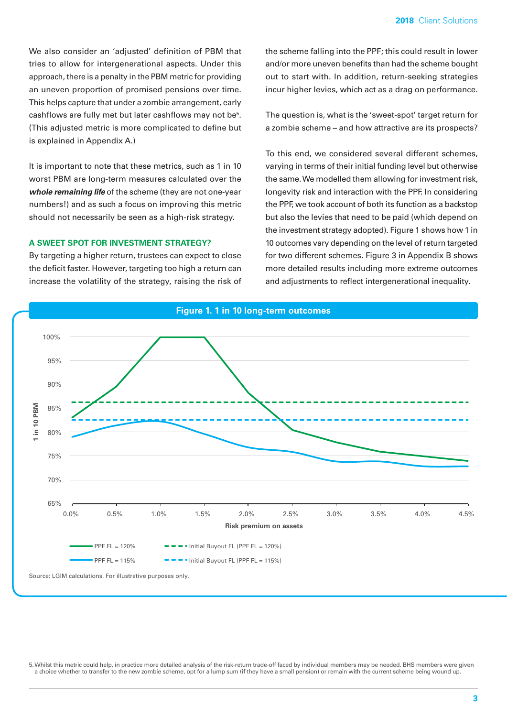We also consider an 'adjusted' definition of PBM that tries to allow for intergenerational aspects. Under this approach, there is a penalty in the PBM metric for providing an uneven proportion of promised pensions over time. This helps capture that under a zombie arrangement, early cashflows are fully met but later cashflows may not be<sup>5</sup>. (This adjusted metric is more complicated to define but is explained in Appendix A.)

It is important to note that these metrics, such as 1 in 10 worst PBM are long-term measures calculated over the *whole remaining life* of the scheme (they are not one-year numbers!) and as such a focus on improving this metric should not necessarily be seen as a high-risk strategy.

### **A SWEET SPOT FOR INVESTMENT STRATEGY?**

By targeting a higher return, trustees can expect to close the deficit faster. However, targeting too high a return can increase the volatility of the strategy, raising the risk of the scheme falling into the PPF; this could result in lower and/or more uneven benefits than had the scheme bought out to start with. In addition, return-seeking strategies incur higher levies, which act as a drag on performance.

The question is, what is the 'sweet-spot' target return for a zombie scheme – and how attractive are its prospects?

To this end, we considered several different schemes, varying in terms of their initial funding level but otherwise the same. We modelled them allowing for investment risk, longevity risk and interaction with the PPF. In considering the PPF, we took account of both its function as a backstop but also the levies that need to be paid (which depend on the investment strategy adopted). Figure 1 shows how 1 in 10 outcomes vary depending on the level of return targeted for two different schemes. Figure 3 in Appendix B shows more detailed results including more extreme outcomes and adjustments to reflect intergenerational inequality.



5. Whilst this metric could help, in practice more detailed analysis of the risk-return trade-off faced by individual members may be needed. BHS members were given a choice whether to transfer to the new zombie scheme, opt for a lump sum (if they have a small pension) or remain with the current scheme being wound up.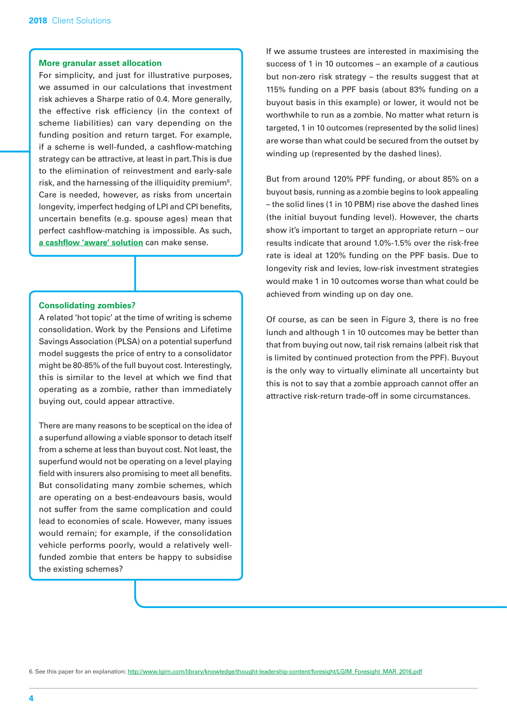## **More granular asset allocation**

For simplicity, and just for illustrative purposes, we assumed in our calculations that investment risk achieves a Sharpe ratio of 0.4. More generally, the effective risk efficiency (in the context of scheme liabilities) can vary depending on the funding position and return target. For example, if a scheme is well-funded, a cashflow-matching strategy can be attractive, at least in part. This is due to the elimination of reinvestment and early-sale risk, and the harnessing of the illiquidity premium<sup>6</sup>. Care is needed, however, as risks from uncertain longevity, imperfect hedging of LPI and CPI benefits, uncertain benefits (e.g. spouse ages) mean that perfect cashflow-matching is impossible. As such, **[a cashflow 'aware' solution](http://www.lgim.com/uk/en/insights/our-thinking/client-solutions/raising-cashflow-awareness.html)** can make sense.

## **Consolidating zombies?**

A related 'hot topic' at the time of writing is scheme consolidation. Work by the Pensions and Lifetime Savings Association (PLSA) on a potential superfund model suggests the price of entry to a consolidator might be 80-85% of the full buyout cost. Interestingly, this is similar to the level at which we find that operating as a zombie, rather than immediately buying out, could appear attractive.

There are many reasons to be sceptical on the idea of a superfund allowing a viable sponsor to detach itself from a scheme at less than buyout cost. Not least, the superfund would not be operating on a level playing field with insurers also promising to meet all benefits. But consolidating many zombie schemes, which are operating on a best-endeavours basis, would not suffer from the same complication and could lead to economies of scale. However, many issues would remain; for example, if the consolidation vehicle performs poorly, would a relatively wellfunded zombie that enters be happy to subsidise the existing schemes?

If we assume trustees are interested in maximising the success of 1 in 10 outcomes – an example of a cautious but non-zero risk strategy – the results suggest that at 115% funding on a PPF basis (about 83% funding on a buyout basis in this example) or lower, it would not be worthwhile to run as a zombie. No matter what return is targeted, 1 in 10 outcomes (represented by the solid lines) are worse than what could be secured from the outset by winding up (represented by the dashed lines).

But from around 120% PPF funding, or about 85% on a buyout basis, running as a zombie begins to look appealing – the solid lines (1 in 10 PBM) rise above the dashed lines (the initial buyout funding level). However, the charts show it's important to target an appropriate return – our results indicate that around 1.0%-1.5% over the risk-free rate is ideal at 120% funding on the PPF basis. Due to longevity risk and levies, low-risk investment strategies would make 1 in 10 outcomes worse than what could be achieved from winding up on day one.

Of course, as can be seen in Figure 3, there is no free lunch and although 1 in 10 outcomes may be better than that from buying out now, tail risk remains (albeit risk that is limited by continued protection from the PPF). Buyout is the only way to virtually eliminate all uncertainty but this is not to say that a zombie approach cannot offer an attractive risk-return trade-off in some circumstances.

6. See this paper for an explanation: [http://www.lgim.com/library/knowledge/thought-leadership-content/foresight/LGIM\\_Foresight\\_MAR\\_2016.pdf](http://www.lgim.com/library/knowledge/thought-leadership-content/foresight/LGIM_Foresight_MAR_2016.pdf)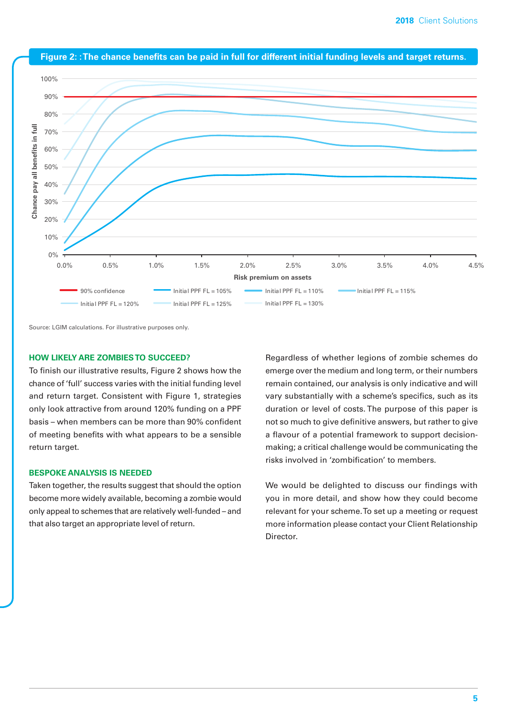

**Figure 2: : The chance benefits can be paid in full for different initial funding levels and target returns.**

Source: LGIM calculations. For illustrative purposes only.

## **HOW LIKELY ARE ZOMBIES TO SUCCEED?**

To finish our illustrative results, Figure 2 shows how the chance of 'full' success varies with the initial funding level and return target. Consistent with Figure 1, strategies only look attractive from around 120% funding on a PPF basis – when members can be more than 90% confident of meeting benefits with what appears to be a sensible return target.

## **BESPOKE ANALYSIS IS NEEDED**

Taken together, the results suggest that should the option become more widely available, becoming a zombie would only appeal to schemes that are relatively well-funded – and that also target an appropriate level of return.

Regardless of whether legions of zombie schemes do emerge over the medium and long term, or their numbers remain contained, our analysis is only indicative and will vary substantially with a scheme's specifics, such as its duration or level of costs. The purpose of this paper is not so much to give definitive answers, but rather to give a flavour of a potential framework to support decisionmaking; a critical challenge would be communicating the risks involved in 'zombification' to members.

We would be delighted to discuss our findings with you in more detail, and show how they could become relevant for your scheme. To set up a meeting or request more information please contact your Client Relationship Director.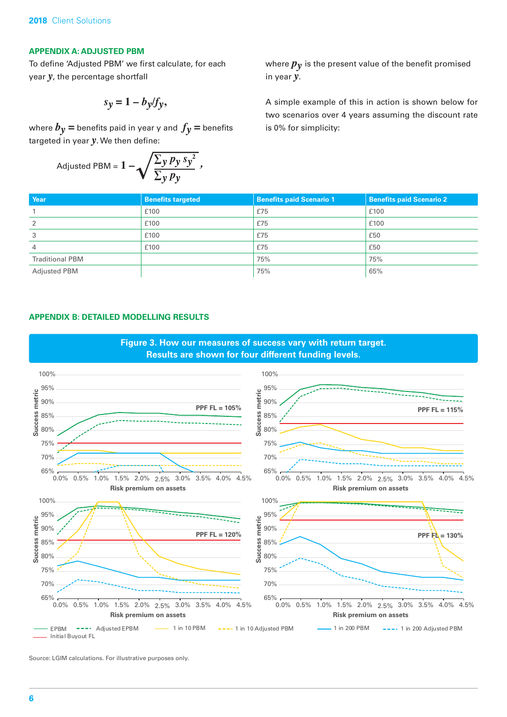## **APPENDIX A: ADJUSTED PBM**

To define 'Adjusted PBM' we first calculate, for each year *y*, the percentage shortfall

$$
s_y = 1 - b_y/f_y,
$$

where  $b_y$  = benefits paid in year y and  $f_y$  = benefits targeted in year *y*. We then define:

$$
\text{adjusted PBM} = 1 - \sqrt{\frac{\sum_{y} p_{y} s_{y}^{2}}{\sum_{y} p_{y}}}
$$

where  $p_{\nu}$  is the present value of the benefit promised in year *y*.

A simple example of this in action is shown below for two scenarios over 4 years assuming the discount rate is 0% for simplicity:

| Year                   | <b>Benefits targeted</b> | <b>Benefits paid Scenario 1</b> | <b>Benefits paid Scenario 2</b> |
|------------------------|--------------------------|---------------------------------|---------------------------------|
|                        | £100                     | £75                             | £100                            |
| 2                      | £100                     | £75                             | £100                            |
| 3                      | £100                     | £75                             | £50                             |
| $\overline{4}$         | £100                     | £75                             | £50                             |
| <b>Traditional PBM</b> |                          | 75%                             | 75%                             |
| <b>Adjusted PBM</b>    |                          | 75%                             | 65%                             |

## **APPENDIX B: DETAILED MODELLING RESULTS**



Source: LGIM calculations. For illustrative purposes only.